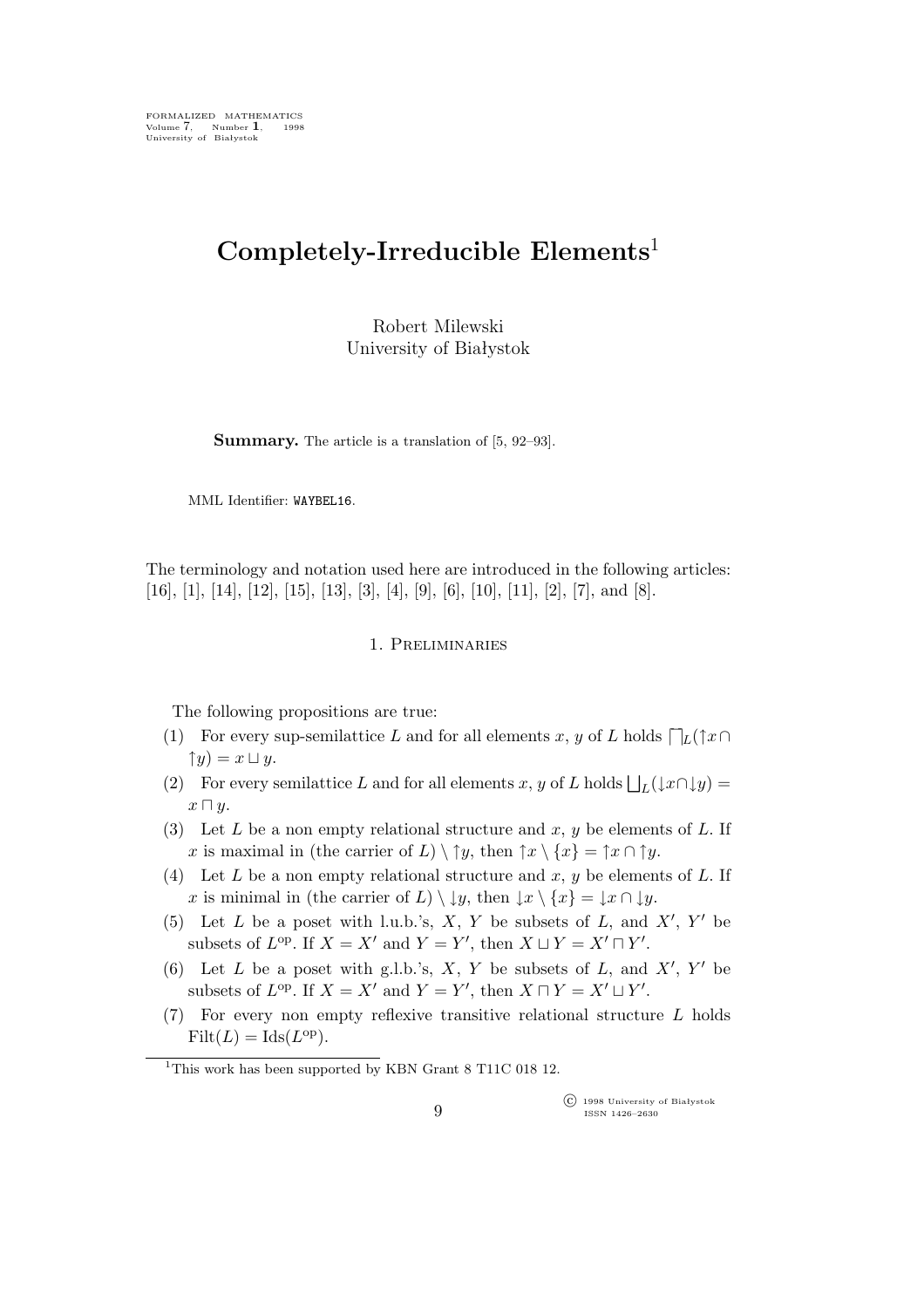# **Completely-Irreducible Elements**<sup>1</sup>

Robert Milewski University of Białystok

**Summary.** The article is a translation of [5, 92–93].

MML Identifier: WAYBEL16.

The terminology and notation used here are introduced in the following articles: [16], [1], [14], [12], [15], [13], [3], [4], [9], [6], [10], [11], [2], [7], and [8].

#### 1. Preliminaries

The following propositions are true:

- (1) For every sup-semilattice L and for all elements x, y of L holds  $\bigcap_L(\uparrow x\cap$  *=*  $x \sqcup y$ *.*
- (2) For every semilattice L and for all elements x, y of L holds  $\bigsqcup_{L}(\downarrow x \cap \downarrow y) =$ x *⊓* y.
- (3) Let L be a non empty relational structure and x, y be elements of L. If x is maximal in (the carrier of L)  $\setminus \uparrow y$ , then  $\uparrow x \setminus \{x\} = \uparrow x \cap \uparrow y$ .
- (4) Let L be a non empty relational structure and x, y be elements of L. If x is minimal in (the carrier of L)  $\setminus \downarrow y$ , then  $\downarrow x \setminus \{x\} = \downarrow x \cap \downarrow y$ .
- (5) Let  $L$  be a poset with l.u.b.'s,  $X$ ,  $Y$  be subsets of  $L$ , and  $X'$ ,  $Y'$  be subsets of  $L^{op}$ . If  $X = X'$  and  $Y = Y'$ , then  $X \sqcup Y = X' \sqcap Y'$ .
- (6) Let  $L$  be a poset with g.l.b.'s,  $X$ ,  $Y$  be subsets of  $L$ , and  $X'$ ,  $Y'$  be subsets of  $L^{\text{op}}$ . If  $X = X'$  and  $Y = Y'$ , then  $X \sqcap Y = X' \sqcup Y'$ .
- (7) For every non empty reflexive transitive relational structure  $L$  holds  $Filt(L) = Ids(L^{op}).$

°c 1998 University of Białystok ISSN 1426–2630

<sup>&</sup>lt;sup>1</sup>This work has been supported by KBN Grant 8 T11C 018 12.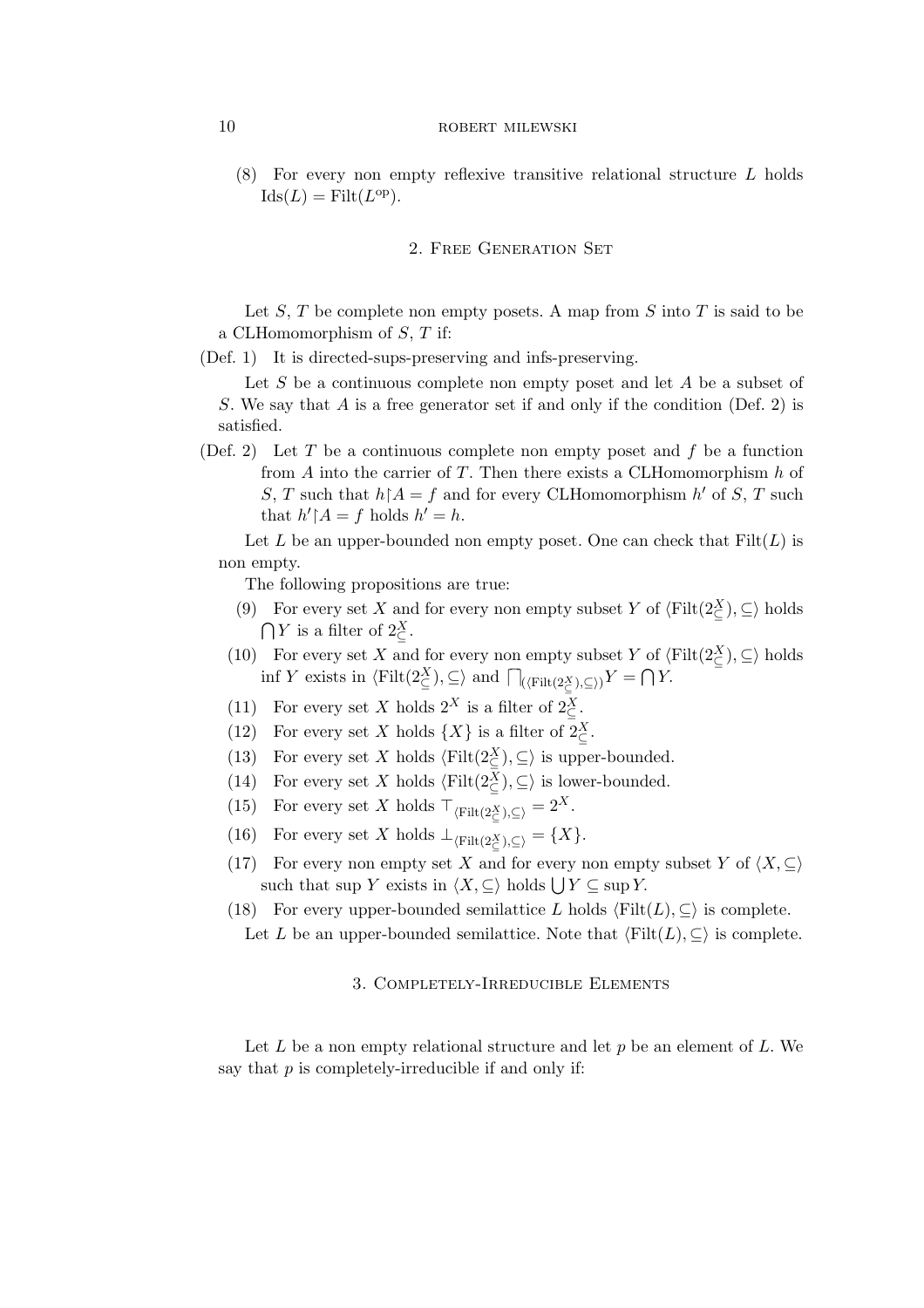### 10 ROBERT MILEWSKI

(8) For every non empty reflexive transitive relational structure L holds  $\text{Ids}(L) = \text{Filt}(L^{\text{op}}).$ 

### 2. Free Generation Set

Let  $S, T$  be complete non empty posets. A map from  $S$  into  $T$  is said to be a CLHomomorphism of S, T if:

(Def. 1) It is directed-sups-preserving and infs-preserving.

Let  $S$  be a continuous complete non empty poset and let  $A$  be a subset of S. We say that A is a free generator set if and only if the condition (Def. 2) is satisfied.

(Def. 2) Let T be a continuous complete non empty poset and f be a function from  $A$  into the carrier of  $T$ . Then there exists a CLHomomorphism  $h$  of S, T such that  $h \upharpoonright A = f$  and for every CLHomomorphism  $h'$  of S, T such that  $h' \upharpoonright A = f$  holds  $h' = h$ .

Let L be an upper-bounded non empty poset. One can check that  $Filt(L)$  is non empty.

The following propositions are true:

- (9) For every set X and for every non empty subset Y of  $\langle \text{Filt}(2\mathcal{Z}_\subseteq) , \subseteq \rangle$  holds  $\bigcap Y$  is a filter of  $2\frac{X}{\subseteq}$ .
- (10) For every set X and for every non empty subset Y of  $\langle \text{Filt}(2\mathcal{X}^{\mathcal{X}}) , \subseteq \rangle$  holds  $\inf Y$  exists in  $\langle \text{Filt}(2\leq^{\chi}) , \subseteq \rangle$  and  $\bigcap_{(\langle \text{Filt}(2\leq^{\chi}) , \subseteq \rangle)} Y = \bigcap Y$ .
- (11) For every set X holds  $2^X$  is a filter of  $2^X_{\subseteq}$ .
- (12) For every set X holds  $\{X\}$  is a filter of  $2\frac{X}{C}$ .
- (13) For every set X holds  $\langle \text{Filt}(2\frac{X}{\zeta}), \subseteq \rangle$  is upper-bounded.
- (14) For every set X holds  $\langle \text{Filt}(2\frac{X}{\zeta}), \subseteq \rangle$  is lower-bounded.
- (15) For every set X holds  $\top_{\langle \text{Filt}(2\leq) , \subseteq \rangle} = 2^X$ .
- (16) For every set X holds  $\perp_{\langle \text{Filt}(2\frac{X}{C}), \subseteq \rangle} = \{X\}.$
- (17) For every non empty set X and for every non empty subset Y of  $\langle X, \subseteq \rangle$ such that sup Y exists in  $\langle X, \subseteq \rangle$  holds  $\bigcup Y \subseteq \sup Y$ .
- (18) For every upper-bounded semilattice L holds  $\langle \text{Filt}(L), \subseteq \rangle$  is complete. Let L be an upper-bounded semilattice. Note that  $\langle \text{Filt}(L), \subseteq \rangle$  is complete.

## 3. Completely-Irreducible Elements

Let L be a non empty relational structure and let  $p$  be an element of L. We say that  $p$  is completely-irreducible if and only if: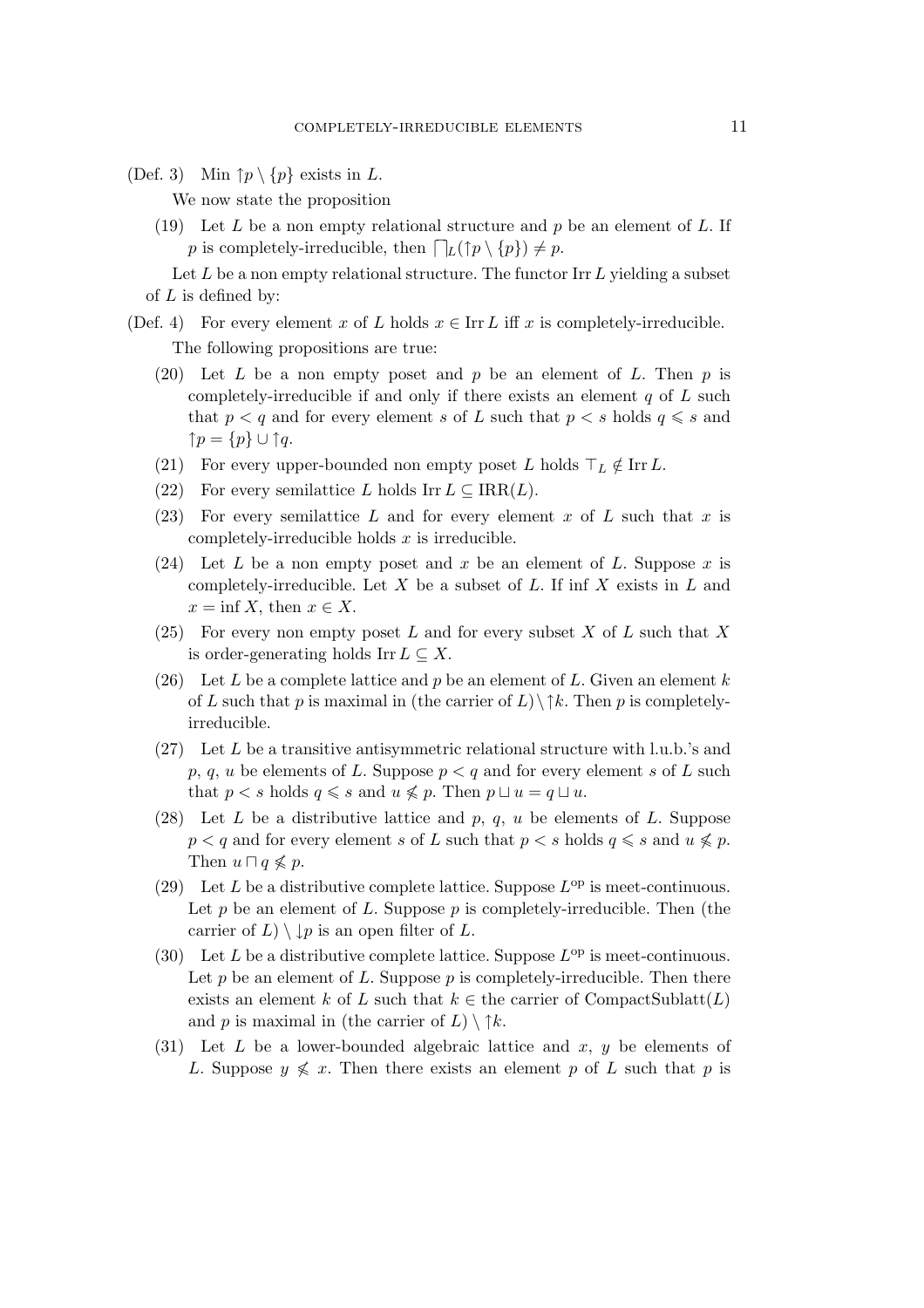(Def. 3) Min  $\uparrow p \setminus \{p\}$  exists in L.

We now state the proposition

(19) Let L be a non empty relational structure and  $p$  be an element of L. If p is completely-irreducible, then  $\bigcap_{L}(\uparrow p \setminus \{p\}) \neq p$ .

Let  $L$  be a non empty relational structure. The functor Irr  $L$  yielding a subset of  $L$  is defined by:

- (Def. 4) For every element x of L holds  $x \in \text{Irr } L$  iff x is completely-irreducible. The following propositions are true:
	- (20) Let  $L$  be a non empty poset and  $p$  be an element of  $L$ . Then  $p$  is completely-irreducible if and only if there exists an element  $q$  of  $L$  such that  $p < q$  and for every element s of L such that  $p < s$  holds  $q \leq s$  and *↑*p = *{*p*} ∪ ↑*q.
	- (21) For every upper-bounded non empty poset L holds  $\top_L \notin \text{Irr } L$ .
	- (22) For every semilattice L holds Irr  $L \subseteq \text{IRR}(L)$ .
	- (23) For every semilattice L and for every element x of L such that x is completely-irreducible holds  $x$  is irreducible.
	- (24) Let L be a non empty poset and x be an element of L. Suppose x is completely-irreducible. Let  $X$  be a subset of  $L$ . If inf  $X$  exists in  $L$  and  $x = \inf X$ , then  $x \in X$ .
	- (25) For every non empty poset L and for every subset X of L such that X is order-generating holds Irr  $L \subseteq X$ .
	- (26) Let L be a complete lattice and p be an element of L. Given an element k of L such that p is maximal in (the carrier of L)*\↑*k. Then p is completelyirreducible.
	- (27) Let L be a transitive antisymmetric relational structure with l.u.b.'s and p, q, u be elements of L. Suppose  $p < q$  and for every element s of L such that  $p < s$  holds  $q \leq s$  and  $u \nleq p$ . Then  $p \sqcup u = q \sqcup u$ .
	- (28) Let L be a distributive lattice and p, q, u be elements of L. Suppose  $p < q$  and for every element s of L such that  $p < s$  holds  $q \leq s$  and  $u \nleq p$ . Then  $u \sqcap q \nleq p$ .
	- (29) Let L be a distributive complete lattice. Suppose  $L^{\rm op}$  is meet-continuous. Let  $p$  be an element of  $L$ . Suppose  $p$  is completely-irreducible. Then (the carrier of  $L$ )  $\setminus \downarrow p$  is an open filter of L.
	- (30) Let L be a distributive complete lattice. Suppose  $L^{\rm op}$  is meet-continuous. Let p be an element of L. Suppose p is completely-irreducible. Then there exists an element k of L such that  $k \in \mathbb{R}$  the carrier of CompactSublatt(L) and p is maximal in (the carrier of  $L$ )  $\setminus \uparrow k$ .
	- (31) Let  $L$  be a lower-bounded algebraic lattice and  $x, y$  be elements of L. Suppose  $y \nleq x$ . Then there exists an element p of L such that p is